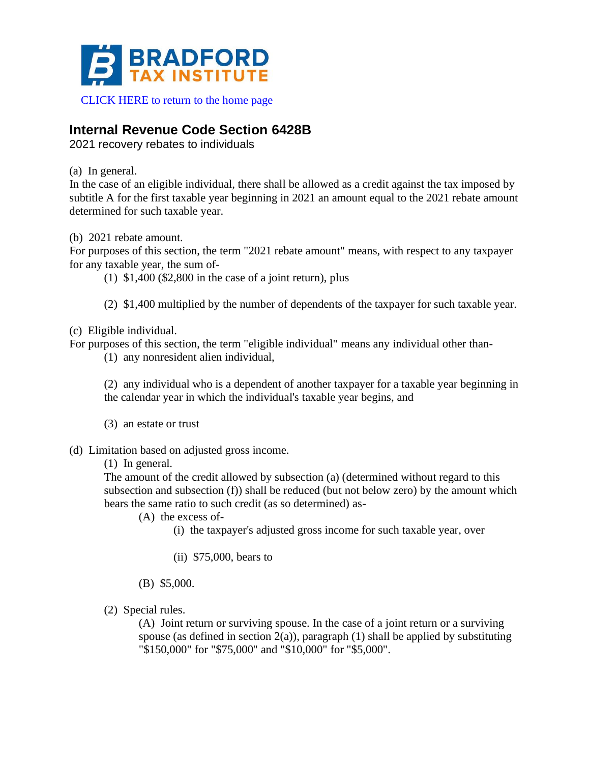

#### [CLICK HERE to return to the home page](https://www.bradfordtaxinstitute.com)

# **Internal Revenue Code Section 6428B**

2021 recovery rebates to individuals

(a) In general.

In the case of an eligible individual, there shall be allowed as a credit against the tax imposed by subtitle A for the first taxable year beginning in 2021 an amount equal to the 2021 rebate amount determined for such taxable year.

(b) 2021 rebate amount.

For purposes of this section, the term "2021 rebate amount" means, with respect to any taxpayer for any taxable year, the sum of-

- $(1)$  \$1,400 (\$2,800 in the case of a joint return), plus
- (2) \$1,400 multiplied by the number of dependents of the taxpayer for such taxable year.

(c) Eligible individual.

For purposes of this section, the term "eligible individual" means any individual other than-

(1) any nonresident alien individual,

(2) any individual who is a dependent of another taxpayer for a taxable year beginning in the calendar year in which the individual's taxable year begins, and

- (3) an estate or trust
- (d) Limitation based on adjusted gross income.

(1) In general.

The amount of the credit allowed by subsection (a) (determined without regard to this subsection and subsection (f)) shall be reduced (but not below zero) by the amount which bears the same ratio to such credit (as so determined) as-

- (A) the excess of-
	- (i) the taxpayer's adjusted gross income for such taxable year, over
	- (ii) \$75,000, bears to
- (B) \$5,000.
- (2) Special rules.

(A) Joint return or surviving spouse. In the case of a joint return or a surviving spouse (as defined in section  $2(a)$ ), paragraph (1) shall be applied by substituting "\$150,000" for "\$75,000" and "\$10,000" for "\$5,000".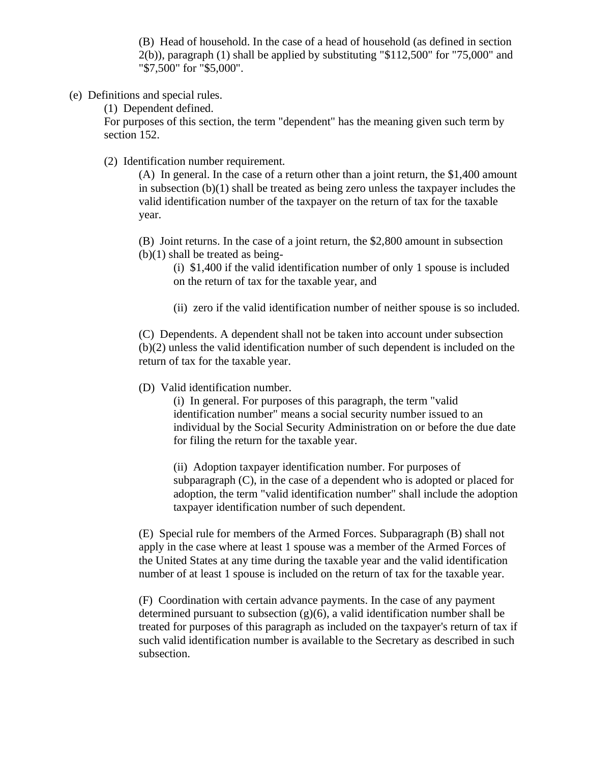(B) Head of household. In the case of a head of household (as defined in section 2(b)), paragraph (1) shall be applied by substituting "\$112,500" for "75,000" and "\$7,500" for "\$5,000".

(e) Definitions and special rules.

(1) Dependent defined.

For purposes of this section, the term "dependent" has the meaning given such term by section 152.

(2) Identification number requirement.

(A) In general. In the case of a return other than a joint return, the \$1,400 amount in subsection (b)(1) shall be treated as being zero unless the taxpayer includes the valid identification number of the taxpayer on the return of tax for the taxable year.

(B) Joint returns. In the case of a joint return, the \$2,800 amount in subsection (b)(1) shall be treated as being-

(i) \$1,400 if the valid identification number of only 1 spouse is included on the return of tax for the taxable year, and

(ii) zero if the valid identification number of neither spouse is so included.

(C) Dependents. A dependent shall not be taken into account under subsection (b)(2) unless the valid identification number of such dependent is included on the return of tax for the taxable year.

(D) Valid identification number.

(i) In general. For purposes of this paragraph, the term "valid identification number" means a social security number issued to an individual by the Social Security Administration on or before the due date for filing the return for the taxable year.

(ii) Adoption taxpayer identification number. For purposes of subparagraph (C), in the case of a dependent who is adopted or placed for adoption, the term "valid identification number" shall include the adoption taxpayer identification number of such dependent.

(E) Special rule for members of the Armed Forces. Subparagraph (B) shall not apply in the case where at least 1 spouse was a member of the Armed Forces of the United States at any time during the taxable year and the valid identification number of at least 1 spouse is included on the return of tax for the taxable year.

(F) Coordination with certain advance payments. In the case of any payment determined pursuant to subsection  $(g)(6)$ , a valid identification number shall be treated for purposes of this paragraph as included on the taxpayer's return of tax if such valid identification number is available to the Secretary as described in such subsection.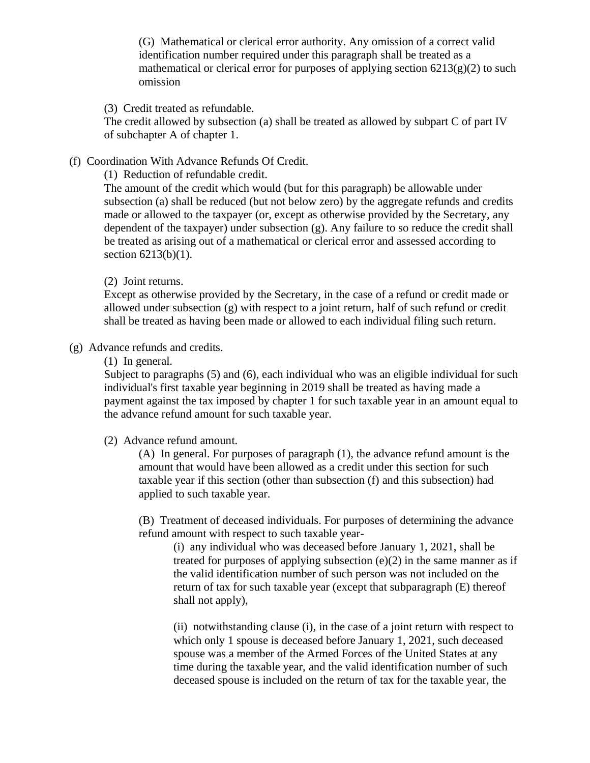(G) Mathematical or clerical error authority. Any omission of a correct valid identification number required under this paragraph shall be treated as a mathematical or clerical error for purposes of applying section  $6213(g)(2)$  to such omission

(3) Credit treated as refundable.

The credit allowed by subsection (a) shall be treated as allowed by subpart C of part IV of subchapter A of chapter 1.

(f) Coordination With Advance Refunds Of Credit.

(1) Reduction of refundable credit.

The amount of the credit which would (but for this paragraph) be allowable under subsection (a) shall be reduced (but not below zero) by the aggregate refunds and credits made or allowed to the taxpayer (or, except as otherwise provided by the Secretary, any dependent of the taxpayer) under subsection (g). Any failure to so reduce the credit shall be treated as arising out of a mathematical or clerical error and assessed according to section 6213(b)(1).

### (2) Joint returns.

Except as otherwise provided by the Secretary, in the case of a refund or credit made or allowed under subsection (g) with respect to a joint return, half of such refund or credit shall be treated as having been made or allowed to each individual filing such return.

(g) Advance refunds and credits.

(1) In general.

Subject to paragraphs (5) and (6), each individual who was an eligible individual for such individual's first taxable year beginning in 2019 shall be treated as having made a payment against the tax imposed by chapter 1 for such taxable year in an amount equal to the advance refund amount for such taxable year.

# (2) Advance refund amount.

(A) In general. For purposes of paragraph (1), the advance refund amount is the amount that would have been allowed as a credit under this section for such taxable year if this section (other than subsection (f) and this subsection) had applied to such taxable year.

(B) Treatment of deceased individuals. For purposes of determining the advance refund amount with respect to such taxable year-

(i) any individual who was deceased before January 1, 2021, shall be treated for purposes of applying subsection  $(e)(2)$  in the same manner as if the valid identification number of such person was not included on the return of tax for such taxable year (except that subparagraph (E) thereof shall not apply),

(ii) notwithstanding clause (i), in the case of a joint return with respect to which only 1 spouse is deceased before January 1, 2021, such deceased spouse was a member of the Armed Forces of the United States at any time during the taxable year, and the valid identification number of such deceased spouse is included on the return of tax for the taxable year, the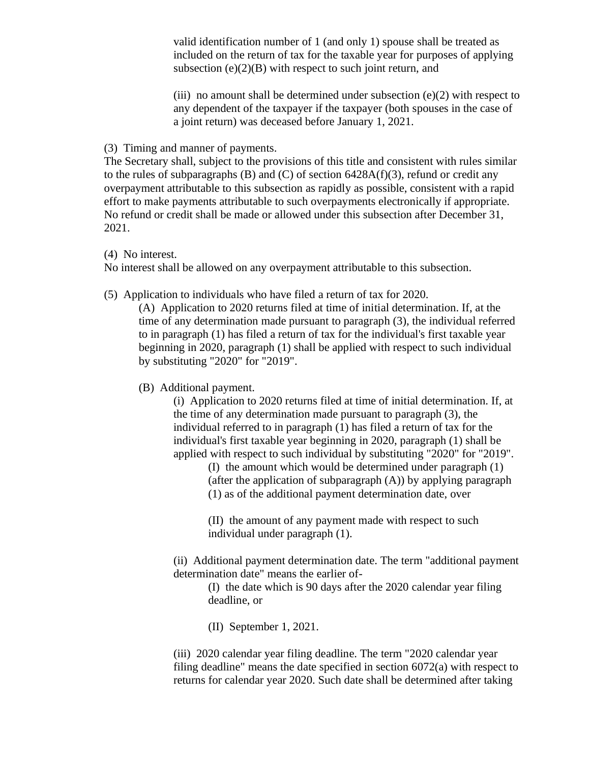valid identification number of 1 (and only 1) spouse shall be treated as included on the return of tax for the taxable year for purposes of applying subsection  $(e)(2)(B)$  with respect to such joint return, and

(iii) no amount shall be determined under subsection  $(e)(2)$  with respect to any dependent of the taxpayer if the taxpayer (both spouses in the case of a joint return) was deceased before January 1, 2021.

#### (3) Timing and manner of payments.

The Secretary shall, subject to the provisions of this title and consistent with rules similar to the rules of subparagraphs  $(B)$  and  $(C)$  of section 6428A(f)(3), refund or credit any overpayment attributable to this subsection as rapidly as possible, consistent with a rapid effort to make payments attributable to such overpayments electronically if appropriate. No refund or credit shall be made or allowed under this subsection after December 31, 2021.

(4) No interest.

No interest shall be allowed on any overpayment attributable to this subsection.

(5) Application to individuals who have filed a return of tax for 2020.

(A) Application to 2020 returns filed at time of initial determination. If, at the time of any determination made pursuant to paragraph (3), the individual referred to in paragraph (1) has filed a return of tax for the individual's first taxable year beginning in 2020, paragraph (1) shall be applied with respect to such individual by substituting "2020" for "2019".

(B) Additional payment.

(i) Application to 2020 returns filed at time of initial determination. If, at the time of any determination made pursuant to paragraph (3), the individual referred to in paragraph (1) has filed a return of tax for the individual's first taxable year beginning in 2020, paragraph (1) shall be applied with respect to such individual by substituting "2020" for "2019".

> (I) the amount which would be determined under paragraph (1) (after the application of subparagraph (A)) by applying paragraph (1) as of the additional payment determination date, over

(II) the amount of any payment made with respect to such individual under paragraph (1).

(ii) Additional payment determination date. The term "additional payment determination date" means the earlier of-

(I) the date which is 90 days after the 2020 calendar year filing deadline, or

(II) September 1, 2021.

(iii) 2020 calendar year filing deadline. The term "2020 calendar year filing deadline" means the date specified in section 6072(a) with respect to returns for calendar year 2020. Such date shall be determined after taking